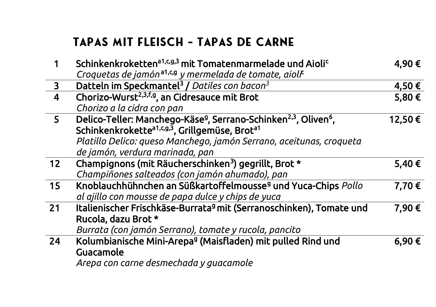# TAPAS MIT FLEISCH - TAPAS DE CARNE

|                         | Schinkenkroketten <sup>a1,c,g,3</sup> mit Tomatenmarmelade und Aiolic                               | 4,90€  |
|-------------------------|-----------------------------------------------------------------------------------------------------|--------|
|                         | Croquetas de jamón <sup>a1,c,9</sup> y mermelada de tomate, aiolf                                   |        |
| 3                       | Datteln im Speckmantel <sup>3</sup> / Datiles con bacon <sup>3</sup>                                | 4,50€  |
| $\overline{\mathbf{4}}$ | Chorizo-Wurst <sup>2,3,f,g</sup> , an Cidresauce mit Brot                                           | 5,80€  |
|                         | Chorizo a la cidra con pan                                                                          |        |
| 5                       | Delico-Teller: Manchego-Käse <sup>g</sup> , Serrano-Schinken <sup>2,3</sup> , Oliven <sup>6</sup> , | 12,50€ |
|                         | Schinkenkrokette <sup>a1,cg,3</sup> , Grillgemüse, Brot <sup>a1</sup>                               |        |
|                         | Platillo Delico: queso Manchego, jamón Serrano, aceitunas, croqueta                                 |        |
|                         | de jamón, verdura marinada, pan                                                                     |        |
| 12                      | Champignons (mit Räucherschinken <sup>3</sup> ) gegrillt, Brot *                                    | 5,40€  |
|                         | Champiñones salteados (con jamón ahumado), pan                                                      |        |
| 15                      | Knoblauchhühnchen an Süßkartoffelmousse <sup>9</sup> und Yuca-Chips Pollo                           | 7,70€  |
|                         | al ajillo con mousse de papa dulce y chips de yuca                                                  |        |
| 21                      | Italienischer Frischkäse-Burrata <sup>g</sup> mit (Serranoschinken), Tomate und                     | 7,90€  |
|                         | Rucola, dazu Brot *                                                                                 |        |
|                         | Burrata (con jamón Serrano), tomate y rucola, pancito                                               |        |
| 24                      | Kolumbianische Mini-Arepa <sup>g</sup> (Maisfladen) mit pulled Rind und                             | 6,90€  |
|                         | Guacamole                                                                                           |        |
|                         | Arepa con carne desmechada y guacamole                                                              |        |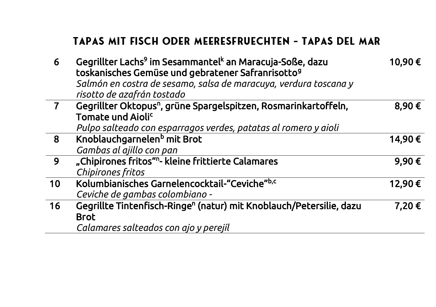#### TAPAS MIT FISCH ODER MEERESFRUECHTEN - TAPAS DEL MAR

| 6              | Gegrillter Lachs <sup>9</sup> im Sesammantel <sup>k</sup> an Maracuja-Soße, dazu<br>toskanisches Gemüse und gebratener Safranrisotto <sup>9</sup><br>Salmón en costra de sesamo, salsa de maracuya, verdura toscana y<br>risotto de azafrán tostado | 10,90€ |
|----------------|-----------------------------------------------------------------------------------------------------------------------------------------------------------------------------------------------------------------------------------------------------|--------|
| $\overline{7}$ | Gegrillter Oktopus <sup>n</sup> , grüne Spargelspitzen, Rosmarinkartoffeln,<br>Tomate und Aioli <sup>c</sup><br>Pulpo salteado con esparragos verdes, patatas al romero y aioli                                                                     | 8,90€  |
| 8              | Knoblauchgarnelen <sup>b</sup> mit Brot<br>Gambas al ajillo con pan                                                                                                                                                                                 | 14,90€ |
| 9              | "Chipirones fritos" <sup>n</sup> - kleine frittierte Calamares<br>Chipirones fritos                                                                                                                                                                 | 9,90€  |
| 10             | Kolumbianisches Garnelencocktail-"Ceviche"b,c<br>Ceviche de gambas colombiano -                                                                                                                                                                     | 12,90€ |
| 16             | Gegrillte Tintenfisch-Ringe <sup>n</sup> (natur) mit Knoblauch/Petersilie, dazu<br><b>Brot</b><br>Calamares salteados con ajo y perejíl                                                                                                             | 7,20€  |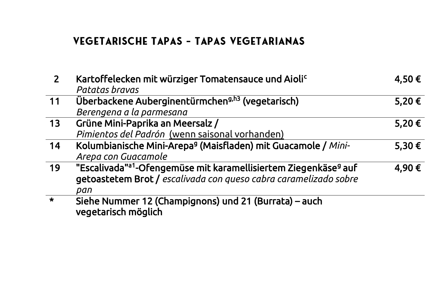## VEGETARISCHE TAPAS - TAPAS VEGETARIANAS

| $\overline{2}$ | Kartoffelecken mit würziger Tomatensauce und Aiolic<br>Patatas bravas                   | 4,50€ |
|----------------|-----------------------------------------------------------------------------------------|-------|
| 11             | Überbackene Auberginentürmchen <sup>g,h3</sup> (vegetarisch)                            | 5,20€ |
|                | Berengena a la parmesana                                                                |       |
| 13             | Grüne Mini-Paprika an Meersalz /                                                        | 5,20€ |
|                | Pimientos del Padrón (wenn saisonal vorhanden)                                          |       |
| 14             | Kolumbianische Mini-Arepa <sup>9</sup> (Maisfladen) mit Guacamole / Mini-               | 5,30€ |
|                | Arepa con Guacamole                                                                     |       |
| 19             | "Escalivada" <sup>a1</sup> -Ofengemüse mit karamellisiertem Ziegenkäse <sup>g</sup> auf | 4,90€ |
|                | getoastetem Brot / escalivada con queso cabra caramelizado sobre                        |       |
|                | pan                                                                                     |       |
| $\star$        | Siehe Nummer 12 (Champignons) und 21 (Burrata) – auch                                   |       |
|                | vegetarisch möglich                                                                     |       |